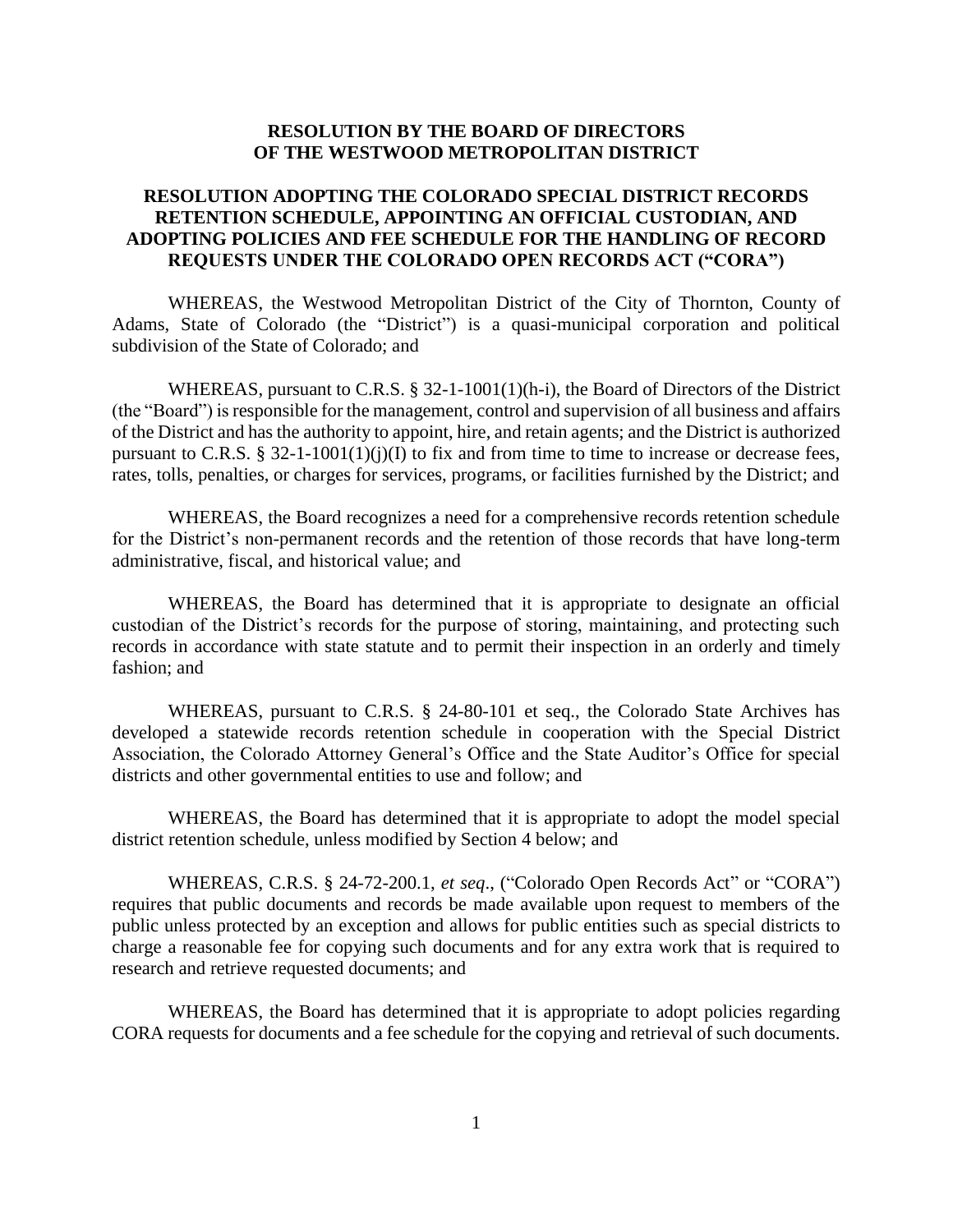## **RESOLUTION BY THE BOARD OF DIRECTORS OF THE WESTWOOD METROPOLITAN DISTRICT**

## **RESOLUTION ADOPTING THE COLORADO SPECIAL DISTRICT RECORDS RETENTION SCHEDULE, APPOINTING AN OFFICIAL CUSTODIAN, AND ADOPTING POLICIES AND FEE SCHEDULE FOR THE HANDLING OF RECORD REQUESTS UNDER THE COLORADO OPEN RECORDS ACT ("CORA")**

WHEREAS, the Westwood Metropolitan District of the City of Thornton, County of Adams, State of Colorado (the "District") is a quasi-municipal corporation and political subdivision of the State of Colorado; and

WHEREAS, pursuant to C.R.S. § 32-1-1001(1)(h-i), the Board of Directors of the District (the "Board") is responsible for the management, control and supervision of all business and affairs of the District and has the authority to appoint, hire, and retain agents; and the District is authorized pursuant to C.R.S. § 32-1-1001(1)(j)(I) to fix and from time to time to increase or decrease fees, rates, tolls, penalties, or charges for services, programs, or facilities furnished by the District; and

WHEREAS, the Board recognizes a need for a comprehensive records retention schedule for the District's non-permanent records and the retention of those records that have long-term administrative, fiscal, and historical value; and

WHEREAS, the Board has determined that it is appropriate to designate an official custodian of the District's records for the purpose of storing, maintaining, and protecting such records in accordance with state statute and to permit their inspection in an orderly and timely fashion; and

WHEREAS, pursuant to C.R.S. § 24-80-101 et seq., the Colorado State Archives has developed a statewide records retention schedule in cooperation with the Special District Association, the Colorado Attorney General's Office and the State Auditor's Office for special districts and other governmental entities to use and follow; and

WHEREAS, the Board has determined that it is appropriate to adopt the model special district retention schedule, unless modified by Section 4 below; and

WHEREAS, C.R.S. § 24-72-200.1, *et seq*., ("Colorado Open Records Act" or "CORA") requires that public documents and records be made available upon request to members of the public unless protected by an exception and allows for public entities such as special districts to charge a reasonable fee for copying such documents and for any extra work that is required to research and retrieve requested documents; and

WHEREAS, the Board has determined that it is appropriate to adopt policies regarding CORA requests for documents and a fee schedule for the copying and retrieval of such documents.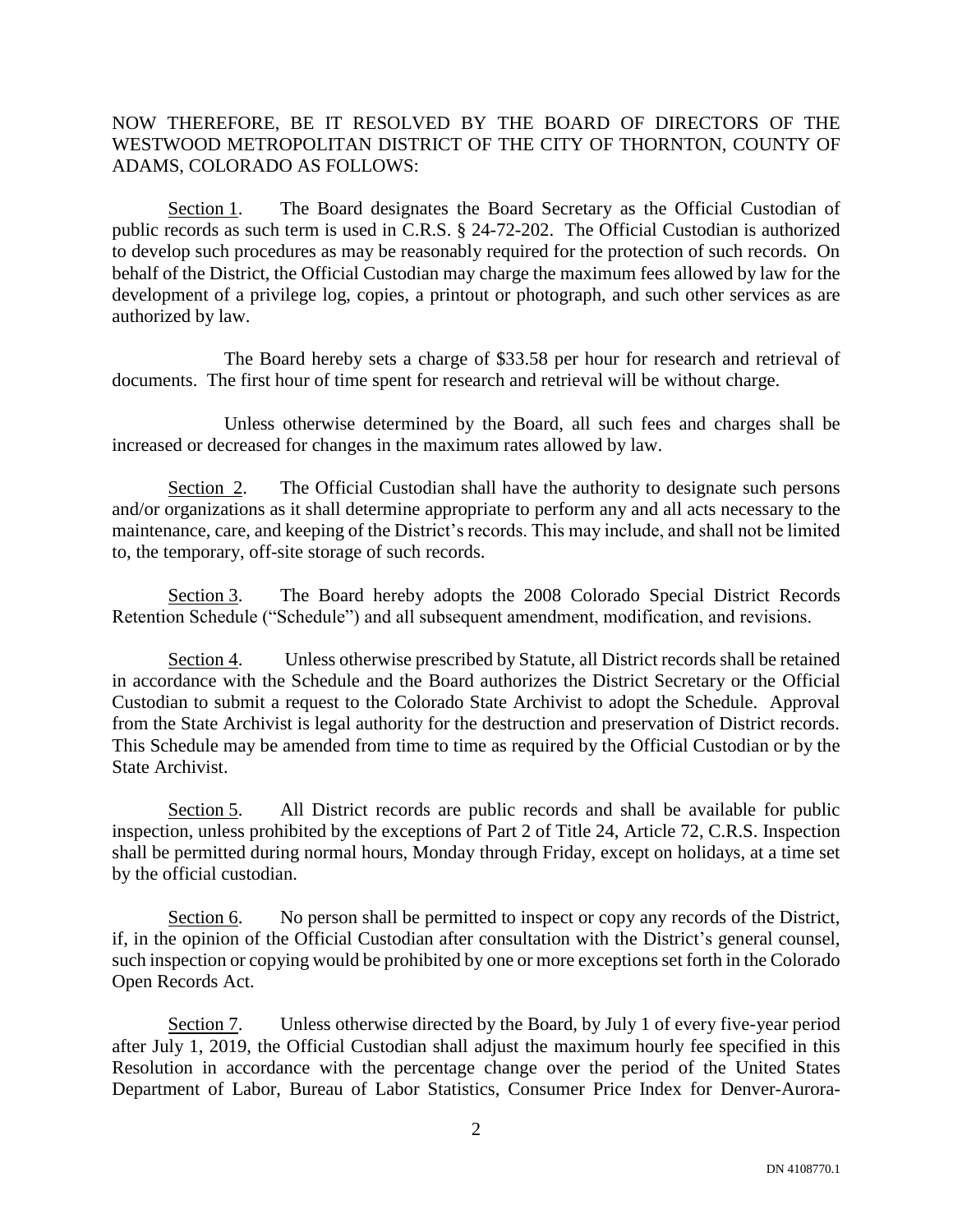## NOW THEREFORE, BE IT RESOLVED BY THE BOARD OF DIRECTORS OF THE WESTWOOD METROPOLITAN DISTRICT OF THE CITY OF THORNTON, COUNTY OF ADAMS, COLORADO AS FOLLOWS:

Section 1. The Board designates the Board Secretary as the Official Custodian of public records as such term is used in C.R.S. § 24-72-202. The Official Custodian is authorized to develop such procedures as may be reasonably required for the protection of such records. On behalf of the District, the Official Custodian may charge the maximum fees allowed by law for the development of a privilege log, copies, a printout or photograph, and such other services as are authorized by law.

The Board hereby sets a charge of \$33.58 per hour for research and retrieval of documents. The first hour of time spent for research and retrieval will be without charge.

Unless otherwise determined by the Board, all such fees and charges shall be increased or decreased for changes in the maximum rates allowed by law.

Section 2. The Official Custodian shall have the authority to designate such persons and/or organizations as it shall determine appropriate to perform any and all acts necessary to the maintenance, care, and keeping of the District's records. This may include, and shall not be limited to, the temporary, off-site storage of such records.

Section 3. The Board hereby adopts the 2008 Colorado Special District Records Retention Schedule ("Schedule") and all subsequent amendment, modification, and revisions.

Section 4. Unless otherwise prescribed by Statute, all District records shall be retained in accordance with the Schedule and the Board authorizes the District Secretary or the Official Custodian to submit a request to the Colorado State Archivist to adopt the Schedule. Approval from the State Archivist is legal authority for the destruction and preservation of District records. This Schedule may be amended from time to time as required by the Official Custodian or by the State Archivist.

Section 5. All District records are public records and shall be available for public inspection, unless prohibited by the exceptions of Part 2 of Title 24, Article 72, C.R.S. Inspection shall be permitted during normal hours, Monday through Friday, except on holidays, at a time set by the official custodian.

Section 6. No person shall be permitted to inspect or copy any records of the District, if, in the opinion of the Official Custodian after consultation with the District's general counsel, such inspection or copying would be prohibited by one or more exceptions set forth in the Colorado Open Records Act.

Section 7. Unless otherwise directed by the Board, by July 1 of every five-year period after July 1, 2019, the Official Custodian shall adjust the maximum hourly fee specified in this Resolution in accordance with the percentage change over the period of the United States Department of Labor, Bureau of Labor Statistics, Consumer Price Index for Denver-Aurora